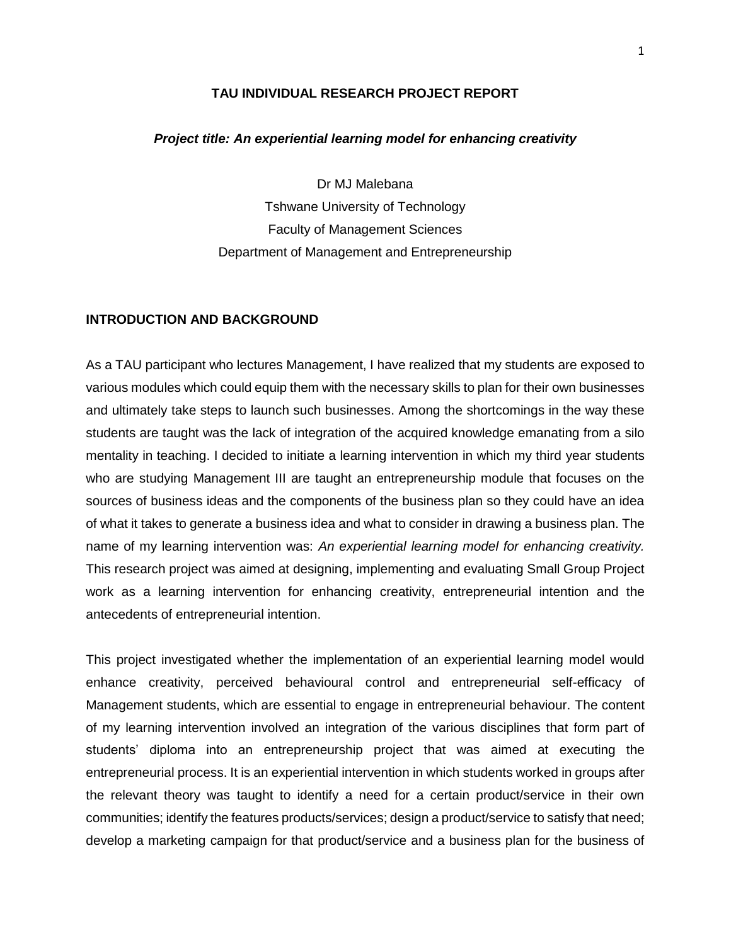## **TAU INDIVIDUAL RESEARCH PROJECT REPORT**

#### *Project title: An experiential learning model for enhancing creativity*

Dr MJ Malebana Tshwane University of Technology Faculty of Management Sciences Department of Management and Entrepreneurship

#### **INTRODUCTION AND BACKGROUND**

As a TAU participant who lectures Management, I have realized that my students are exposed to various modules which could equip them with the necessary skills to plan for their own businesses and ultimately take steps to launch such businesses. Among the shortcomings in the way these students are taught was the lack of integration of the acquired knowledge emanating from a silo mentality in teaching. I decided to initiate a learning intervention in which my third year students who are studying Management III are taught an entrepreneurship module that focuses on the sources of business ideas and the components of the business plan so they could have an idea of what it takes to generate a business idea and what to consider in drawing a business plan. The name of my learning intervention was: *An experiential learning model for enhancing creativity.* This research project was aimed at designing, implementing and evaluating Small Group Project work as a learning intervention for enhancing creativity, entrepreneurial intention and the antecedents of entrepreneurial intention.

This project investigated whether the implementation of an experiential learning model would enhance creativity, perceived behavioural control and entrepreneurial self-efficacy of Management students, which are essential to engage in entrepreneurial behaviour. The content of my learning intervention involved an integration of the various disciplines that form part of students' diploma into an entrepreneurship project that was aimed at executing the entrepreneurial process. It is an experiential intervention in which students worked in groups after the relevant theory was taught to identify a need for a certain product/service in their own communities; identify the features products/services; design a product/service to satisfy that need; develop a marketing campaign for that product/service and a business plan for the business of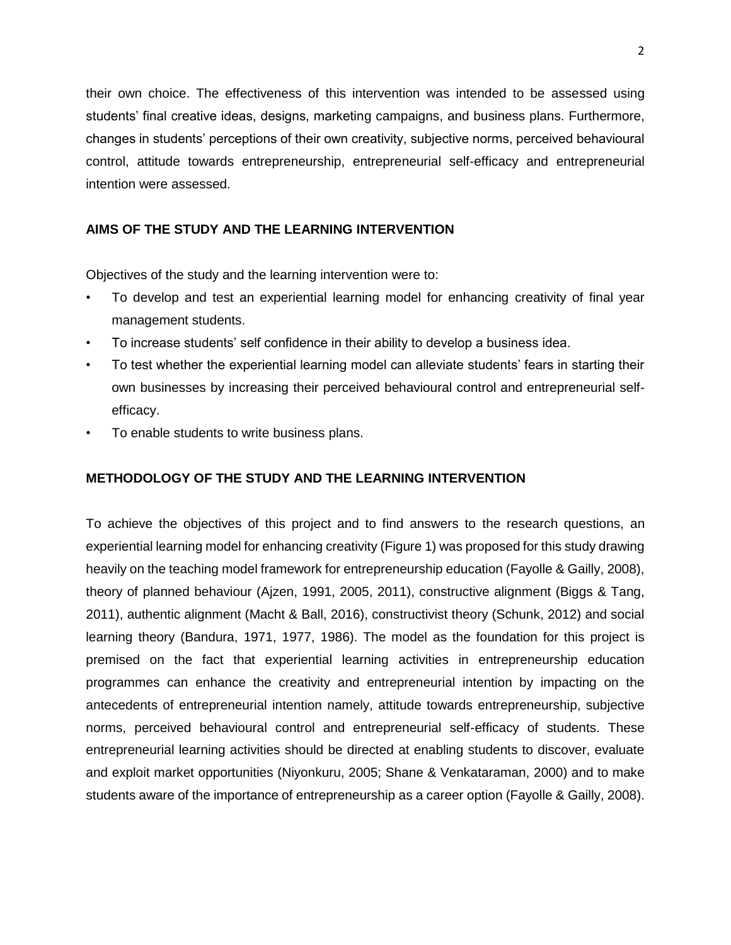their own choice. The effectiveness of this intervention was intended to be assessed using students' final creative ideas, designs, marketing campaigns, and business plans. Furthermore, changes in students' perceptions of their own creativity, subjective norms, perceived behavioural control, attitude towards entrepreneurship, entrepreneurial self-efficacy and entrepreneurial intention were assessed.

# **AIMS OF THE STUDY AND THE LEARNING INTERVENTION**

Objectives of the study and the learning intervention were to:

- To develop and test an experiential learning model for enhancing creativity of final year management students.
- To increase students' self confidence in their ability to develop a business idea.
- To test whether the experiential learning model can alleviate students' fears in starting their own businesses by increasing their perceived behavioural control and entrepreneurial selfefficacy.
- To enable students to write business plans.

## **METHODOLOGY OF THE STUDY AND THE LEARNING INTERVENTION**

To achieve the objectives of this project and to find answers to the research questions, an experiential learning model for enhancing creativity (Figure 1) was proposed for this study drawing heavily on the teaching model framework for entrepreneurship education (Fayolle & Gailly, 2008), theory of planned behaviour (Ajzen, 1991, 2005, 2011), constructive alignment (Biggs & Tang, 2011), authentic alignment (Macht & Ball, 2016), constructivist theory (Schunk, 2012) and social learning theory (Bandura, 1971, 1977, 1986). The model as the foundation for this project is premised on the fact that experiential learning activities in entrepreneurship education programmes can enhance the creativity and entrepreneurial intention by impacting on the antecedents of entrepreneurial intention namely, attitude towards entrepreneurship, subjective norms, perceived behavioural control and entrepreneurial self-efficacy of students. These entrepreneurial learning activities should be directed at enabling students to discover, evaluate and exploit market opportunities (Niyonkuru, 2005; Shane & Venkataraman, 2000) and to make students aware of the importance of entrepreneurship as a career option (Fayolle & Gailly, 2008).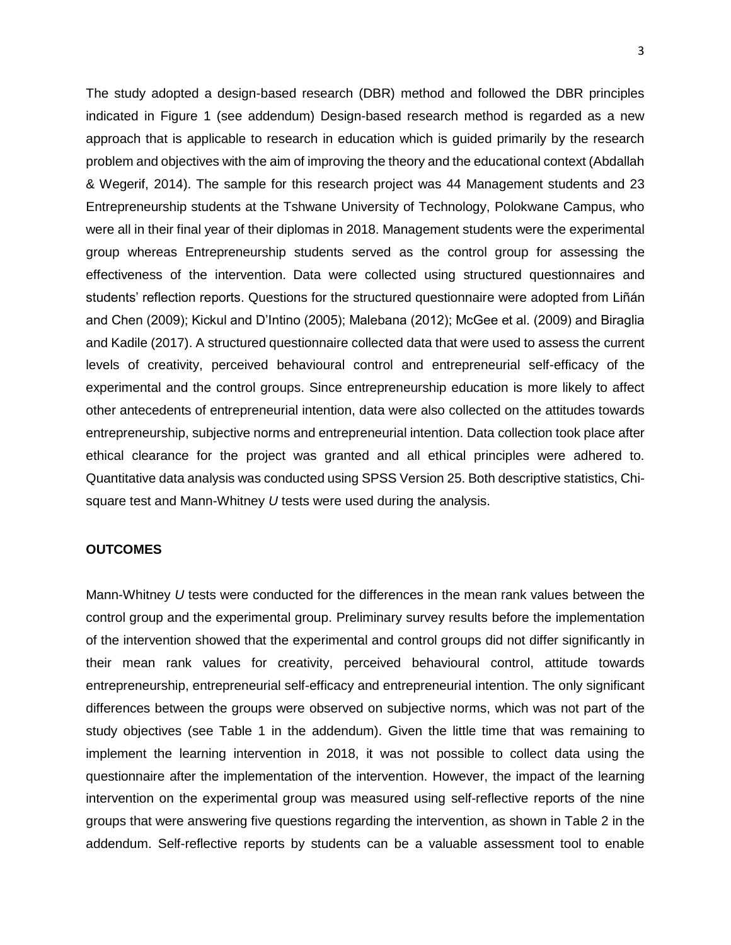The study adopted a design-based research (DBR) method and followed the DBR principles indicated in Figure 1 (see addendum) Design-based research method is regarded as a new approach that is applicable to research in education which is guided primarily by the research problem and objectives with the aim of improving the theory and the educational context (Abdallah & Wegerif, 2014). The sample for this research project was 44 Management students and 23 Entrepreneurship students at the Tshwane University of Technology, Polokwane Campus, who were all in their final year of their diplomas in 2018. Management students were the experimental group whereas Entrepreneurship students served as the control group for assessing the effectiveness of the intervention. Data were collected using structured questionnaires and students' reflection reports. Questions for the structured questionnaire were adopted from Liñán and Chen (2009); Kickul and D'Intino (2005); Malebana (2012); McGee et al. (2009) and Biraglia and Kadile (2017). A structured questionnaire collected data that were used to assess the current levels of creativity, perceived behavioural control and entrepreneurial self-efficacy of the experimental and the control groups. Since entrepreneurship education is more likely to affect other antecedents of entrepreneurial intention, data were also collected on the attitudes towards entrepreneurship, subjective norms and entrepreneurial intention. Data collection took place after ethical clearance for the project was granted and all ethical principles were adhered to. Quantitative data analysis was conducted using SPSS Version 25. Both descriptive statistics, Chisquare test and Mann-Whitney *U* tests were used during the analysis.

## **OUTCOMES**

Mann-Whitney *U* tests were conducted for the differences in the mean rank values between the control group and the experimental group. Preliminary survey results before the implementation of the intervention showed that the experimental and control groups did not differ significantly in their mean rank values for creativity, perceived behavioural control, attitude towards entrepreneurship, entrepreneurial self-efficacy and entrepreneurial intention. The only significant differences between the groups were observed on subjective norms, which was not part of the study objectives (see Table 1 in the addendum). Given the little time that was remaining to implement the learning intervention in 2018, it was not possible to collect data using the questionnaire after the implementation of the intervention. However, the impact of the learning intervention on the experimental group was measured using self-reflective reports of the nine groups that were answering five questions regarding the intervention, as shown in Table 2 in the addendum. Self-reflective reports by students can be a valuable assessment tool to enable